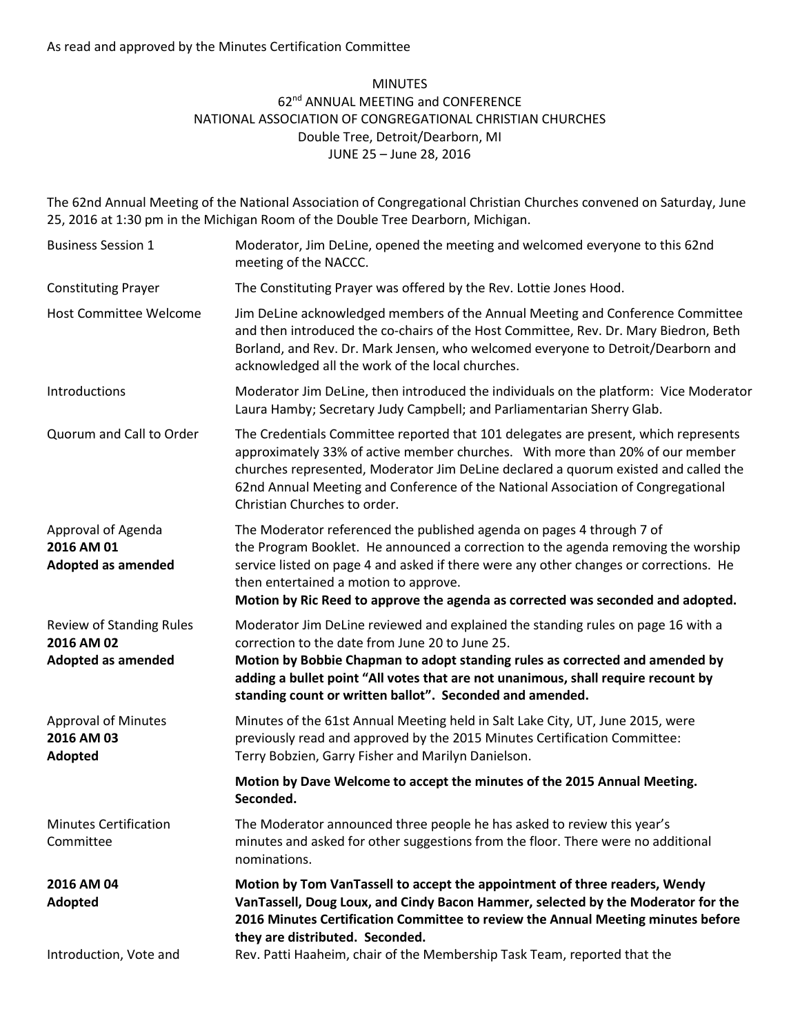## MINUTES 62nd ANNUAL MEETING and CONFERENCE NATIONAL ASSOCIATION OF CONGREGATIONAL CHRISTIAN CHURCHES Double Tree, Detroit/Dearborn, MI JUNE 25 – June 28, 2016

The 62nd Annual Meeting of the National Association of Congregational Christian Churches convened on Saturday, June 25, 2016 at 1:30 pm in the Michigan Room of the Double Tree Dearborn, Michigan.

| <b>Business Session 1</b>                                           | Moderator, Jim DeLine, opened the meeting and welcomed everyone to this 62nd<br>meeting of the NACCC.                                                                                                                                                                                                                                                                           |
|---------------------------------------------------------------------|---------------------------------------------------------------------------------------------------------------------------------------------------------------------------------------------------------------------------------------------------------------------------------------------------------------------------------------------------------------------------------|
| <b>Constituting Prayer</b>                                          | The Constituting Prayer was offered by the Rev. Lottie Jones Hood.                                                                                                                                                                                                                                                                                                              |
| <b>Host Committee Welcome</b>                                       | Jim DeLine acknowledged members of the Annual Meeting and Conference Committee<br>and then introduced the co-chairs of the Host Committee, Rev. Dr. Mary Biedron, Beth<br>Borland, and Rev. Dr. Mark Jensen, who welcomed everyone to Detroit/Dearborn and<br>acknowledged all the work of the local churches.                                                                  |
| Introductions                                                       | Moderator Jim DeLine, then introduced the individuals on the platform: Vice Moderator<br>Laura Hamby; Secretary Judy Campbell; and Parliamentarian Sherry Glab.                                                                                                                                                                                                                 |
| Quorum and Call to Order                                            | The Credentials Committee reported that 101 delegates are present, which represents<br>approximately 33% of active member churches. With more than 20% of our member<br>churches represented, Moderator Jim DeLine declared a quorum existed and called the<br>62nd Annual Meeting and Conference of the National Association of Congregational<br>Christian Churches to order. |
| Approval of Agenda<br>2016 AM 01<br><b>Adopted as amended</b>       | The Moderator referenced the published agenda on pages 4 through 7 of<br>the Program Booklet. He announced a correction to the agenda removing the worship<br>service listed on page 4 and asked if there were any other changes or corrections. He<br>then entertained a motion to approve.<br>Motion by Ric Reed to approve the agenda as corrected was seconded and adopted. |
| Review of Standing Rules<br>2016 AM 02<br><b>Adopted as amended</b> | Moderator Jim DeLine reviewed and explained the standing rules on page 16 with a<br>correction to the date from June 20 to June 25.<br>Motion by Bobbie Chapman to adopt standing rules as corrected and amended by<br>adding a bullet point "All votes that are not unanimous, shall require recount by<br>standing count or written ballot". Seconded and amended.            |
| <b>Approval of Minutes</b><br>2016 AM 03<br>Adopted                 | Minutes of the 61st Annual Meeting held in Salt Lake City, UT, June 2015, were<br>previously read and approved by the 2015 Minutes Certification Committee:<br>Terry Bobzien, Garry Fisher and Marilyn Danielson.                                                                                                                                                               |
|                                                                     | Motion by Dave Welcome to accept the minutes of the 2015 Annual Meeting.<br>Seconded.                                                                                                                                                                                                                                                                                           |
| <b>Minutes Certification</b><br>Committee                           | The Moderator announced three people he has asked to review this year's<br>minutes and asked for other suggestions from the floor. There were no additional<br>nominations.                                                                                                                                                                                                     |
| 2016 AM 04<br>Adopted                                               | Motion by Tom VanTassell to accept the appointment of three readers, Wendy<br>VanTassell, Doug Loux, and Cindy Bacon Hammer, selected by the Moderator for the<br>2016 Minutes Certification Committee to review the Annual Meeting minutes before<br>they are distributed. Seconded.                                                                                           |
| Introduction, Vote and                                              | Rev. Patti Haaheim, chair of the Membership Task Team, reported that the                                                                                                                                                                                                                                                                                                        |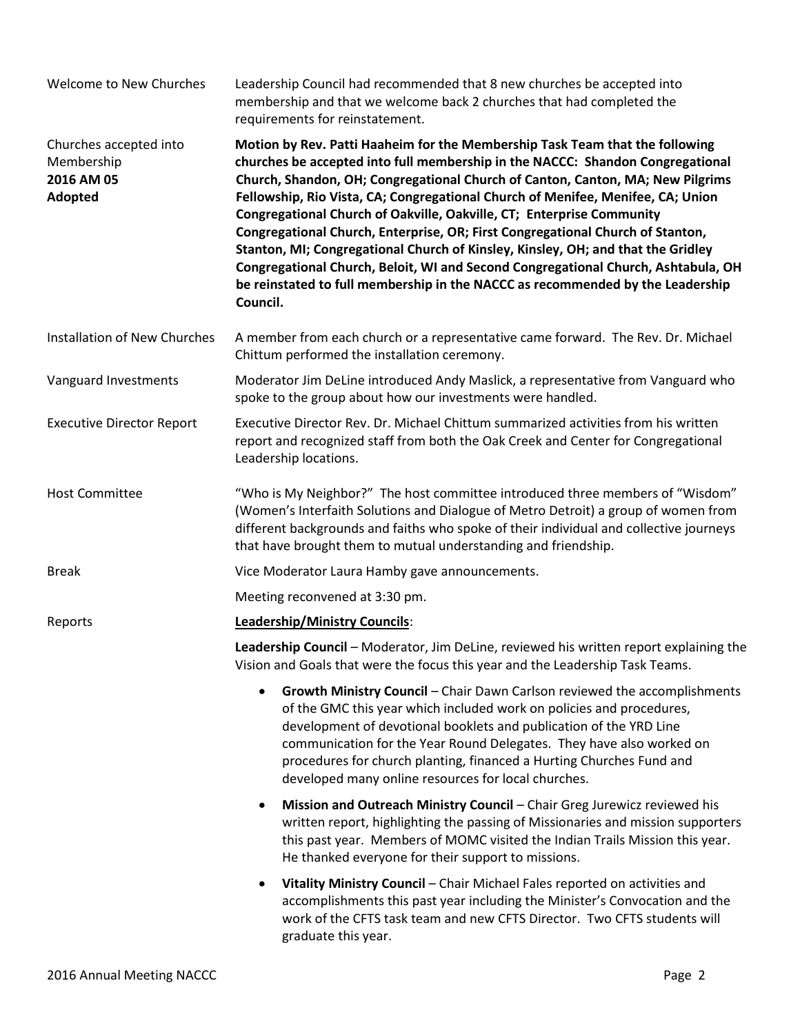| Welcome to New Churches                                       | Leadership Council had recommended that 8 new churches be accepted into<br>membership and that we welcome back 2 churches that had completed the<br>requirements for reinstatement.                                                                                                                                                                                                                                                                                                                                                                                                                                                                                                                                                                                   |
|---------------------------------------------------------------|-----------------------------------------------------------------------------------------------------------------------------------------------------------------------------------------------------------------------------------------------------------------------------------------------------------------------------------------------------------------------------------------------------------------------------------------------------------------------------------------------------------------------------------------------------------------------------------------------------------------------------------------------------------------------------------------------------------------------------------------------------------------------|
| Churches accepted into<br>Membership<br>2016 AM 05<br>Adopted | Motion by Rev. Patti Haaheim for the Membership Task Team that the following<br>churches be accepted into full membership in the NACCC: Shandon Congregational<br>Church, Shandon, OH; Congregational Church of Canton, Canton, MA; New Pilgrims<br>Fellowship, Rio Vista, CA; Congregational Church of Menifee, Menifee, CA; Union<br>Congregational Church of Oakville, Oakville, CT; Enterprise Community<br>Congregational Church, Enterprise, OR; First Congregational Church of Stanton,<br>Stanton, MI; Congregational Church of Kinsley, Kinsley, OH; and that the Gridley<br>Congregational Church, Beloit, WI and Second Congregational Church, Ashtabula, OH<br>be reinstated to full membership in the NACCC as recommended by the Leadership<br>Council. |
| Installation of New Churches                                  | A member from each church or a representative came forward. The Rev. Dr. Michael<br>Chittum performed the installation ceremony.                                                                                                                                                                                                                                                                                                                                                                                                                                                                                                                                                                                                                                      |
| Vanguard Investments                                          | Moderator Jim DeLine introduced Andy Maslick, a representative from Vanguard who<br>spoke to the group about how our investments were handled.                                                                                                                                                                                                                                                                                                                                                                                                                                                                                                                                                                                                                        |
| <b>Executive Director Report</b>                              | Executive Director Rev. Dr. Michael Chittum summarized activities from his written<br>report and recognized staff from both the Oak Creek and Center for Congregational<br>Leadership locations.                                                                                                                                                                                                                                                                                                                                                                                                                                                                                                                                                                      |
| <b>Host Committee</b>                                         | "Who is My Neighbor?" The host committee introduced three members of "Wisdom"<br>(Women's Interfaith Solutions and Dialogue of Metro Detroit) a group of women from<br>different backgrounds and faiths who spoke of their individual and collective journeys<br>that have brought them to mutual understanding and friendship.                                                                                                                                                                                                                                                                                                                                                                                                                                       |
| <b>Break</b>                                                  | Vice Moderator Laura Hamby gave announcements.                                                                                                                                                                                                                                                                                                                                                                                                                                                                                                                                                                                                                                                                                                                        |
|                                                               | Meeting reconvened at 3:30 pm.                                                                                                                                                                                                                                                                                                                                                                                                                                                                                                                                                                                                                                                                                                                                        |
| Reports                                                       | <b>Leadership/Ministry Councils:</b>                                                                                                                                                                                                                                                                                                                                                                                                                                                                                                                                                                                                                                                                                                                                  |
|                                                               | Leadership Council - Moderator, Jim DeLine, reviewed his written report explaining the<br>Vision and Goals that were the focus this year and the Leadership Task Teams.                                                                                                                                                                                                                                                                                                                                                                                                                                                                                                                                                                                               |
|                                                               | Growth Ministry Council - Chair Dawn Carlson reviewed the accomplishments<br>of the GMC this year which included work on policies and procedures,<br>development of devotional booklets and publication of the YRD Line<br>communication for the Year Round Delegates. They have also worked on<br>procedures for church planting, financed a Hurting Churches Fund and<br>developed many online resources for local churches.                                                                                                                                                                                                                                                                                                                                        |
|                                                               | Mission and Outreach Ministry Council - Chair Greg Jurewicz reviewed his<br>written report, highlighting the passing of Missionaries and mission supporters<br>this past year. Members of MOMC visited the Indian Trails Mission this year.<br>He thanked everyone for their support to missions.                                                                                                                                                                                                                                                                                                                                                                                                                                                                     |
|                                                               | Vitality Ministry Council - Chair Michael Fales reported on activities and<br>accomplishments this past year including the Minister's Convocation and the<br>work of the CFTS task team and new CFTS Director. Two CFTS students will<br>graduate this year.                                                                                                                                                                                                                                                                                                                                                                                                                                                                                                          |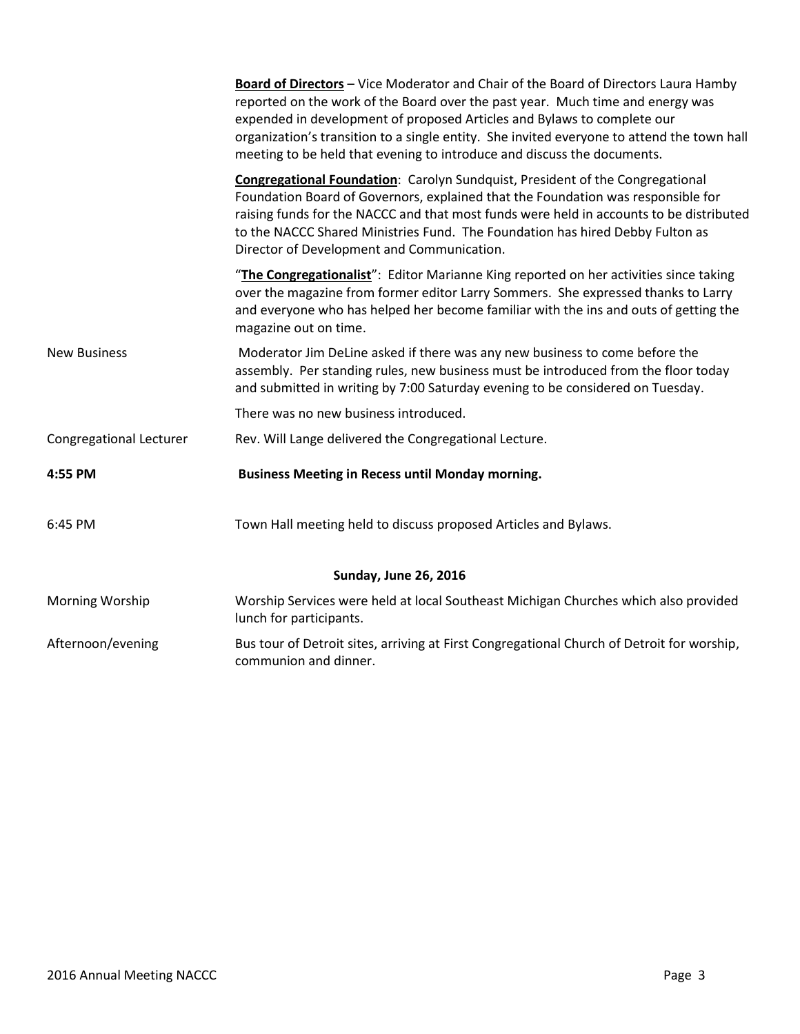|                                | Board of Directors - Vice Moderator and Chair of the Board of Directors Laura Hamby<br>reported on the work of the Board over the past year. Much time and energy was<br>expended in development of proposed Articles and Bylaws to complete our<br>organization's transition to a single entity. She invited everyone to attend the town hall<br>meeting to be held that evening to introduce and discuss the documents. |  |
|--------------------------------|---------------------------------------------------------------------------------------------------------------------------------------------------------------------------------------------------------------------------------------------------------------------------------------------------------------------------------------------------------------------------------------------------------------------------|--|
|                                | <b>Congregational Foundation:</b> Carolyn Sundquist, President of the Congregational<br>Foundation Board of Governors, explained that the Foundation was responsible for<br>raising funds for the NACCC and that most funds were held in accounts to be distributed<br>to the NACCC Shared Ministries Fund. The Foundation has hired Debby Fulton as<br>Director of Development and Communication.                        |  |
|                                | "The Congregationalist": Editor Marianne King reported on her activities since taking<br>over the magazine from former editor Larry Sommers. She expressed thanks to Larry<br>and everyone who has helped her become familiar with the ins and outs of getting the<br>magazine out on time.                                                                                                                               |  |
| <b>New Business</b>            | Moderator Jim DeLine asked if there was any new business to come before the<br>assembly. Per standing rules, new business must be introduced from the floor today<br>and submitted in writing by 7:00 Saturday evening to be considered on Tuesday.                                                                                                                                                                       |  |
|                                | There was no new business introduced.                                                                                                                                                                                                                                                                                                                                                                                     |  |
| <b>Congregational Lecturer</b> | Rev. Will Lange delivered the Congregational Lecture.                                                                                                                                                                                                                                                                                                                                                                     |  |
| 4:55 PM                        | <b>Business Meeting in Recess until Monday morning.</b>                                                                                                                                                                                                                                                                                                                                                                   |  |
| 6:45 PM                        | Town Hall meeting held to discuss proposed Articles and Bylaws.                                                                                                                                                                                                                                                                                                                                                           |  |
| <b>Sunday, June 26, 2016</b>   |                                                                                                                                                                                                                                                                                                                                                                                                                           |  |
| Morning Worship                | Worship Services were held at local Southeast Michigan Churches which also provided<br>lunch for participants.                                                                                                                                                                                                                                                                                                            |  |
| Afternoon/evening              | Bus tour of Detroit sites, arriving at First Congregational Church of Detroit for worship,<br>communion and dinner.                                                                                                                                                                                                                                                                                                       |  |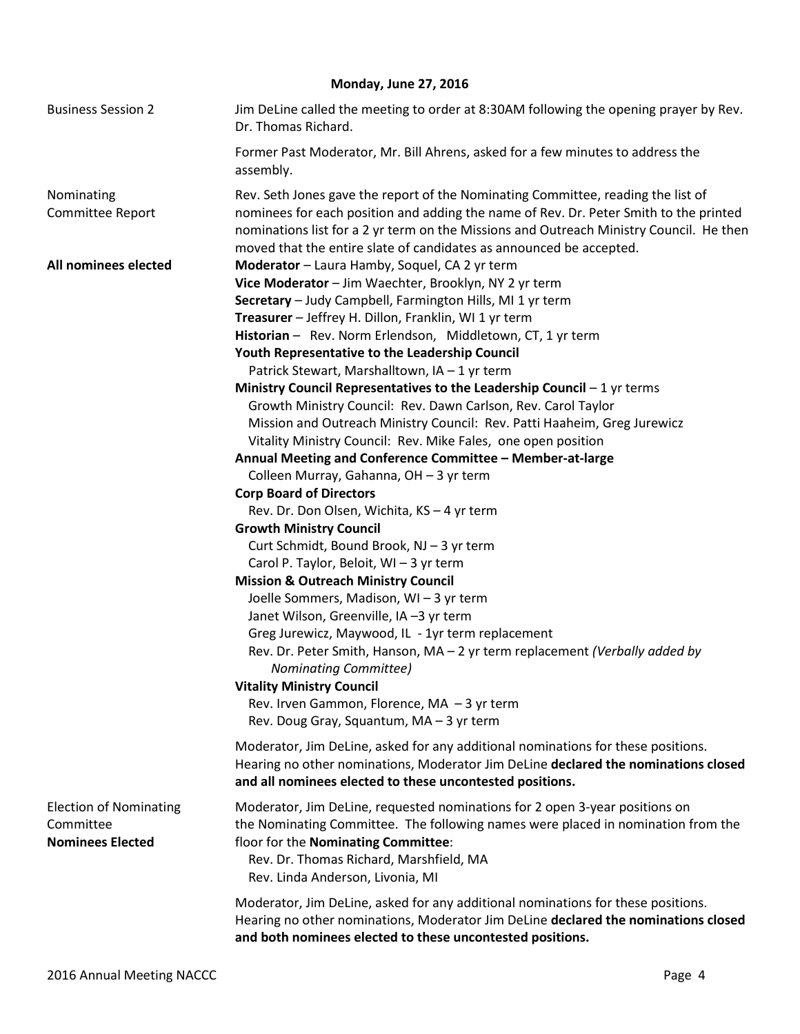## **Monday, June 27, 2016**

| <b>Business Session 2</b>                                             | Jim DeLine called the meeting to order at 8:30AM following the opening prayer by Rev.<br>Dr. Thomas Richard.                                                                                                                                                                                                                                                                                                                                                              |
|-----------------------------------------------------------------------|---------------------------------------------------------------------------------------------------------------------------------------------------------------------------------------------------------------------------------------------------------------------------------------------------------------------------------------------------------------------------------------------------------------------------------------------------------------------------|
|                                                                       | Former Past Moderator, Mr. Bill Ahrens, asked for a few minutes to address the<br>assembly.                                                                                                                                                                                                                                                                                                                                                                               |
| Nominating<br>Committee Report                                        | Rev. Seth Jones gave the report of the Nominating Committee, reading the list of<br>nominees for each position and adding the name of Rev. Dr. Peter Smith to the printed<br>nominations list for a 2 yr term on the Missions and Outreach Ministry Council. He then<br>moved that the entire slate of candidates as announced be accepted.                                                                                                                               |
| All nominees elected                                                  | Moderator - Laura Hamby, Soquel, CA 2 yr term<br>Vice Moderator - Jim Waechter, Brooklyn, NY 2 yr term<br>Secretary - Judy Campbell, Farmington Hills, MI 1 yr term<br>Treasurer - Jeffrey H. Dillon, Franklin, WI 1 yr term<br>Historian - Rev. Norm Erlendson, Middletown, CT, 1 yr term<br>Youth Representative to the Leadership Council<br>Patrick Stewart, Marshalltown, IA - 1 yr term<br>Ministry Council Representatives to the Leadership Council $-1$ yr terms |
|                                                                       | Growth Ministry Council: Rev. Dawn Carlson, Rev. Carol Taylor                                                                                                                                                                                                                                                                                                                                                                                                             |
|                                                                       | Mission and Outreach Ministry Council: Rev. Patti Haaheim, Greg Jurewicz                                                                                                                                                                                                                                                                                                                                                                                                  |
|                                                                       | Vitality Ministry Council: Rev. Mike Fales, one open position                                                                                                                                                                                                                                                                                                                                                                                                             |
|                                                                       | Annual Meeting and Conference Committee - Member-at-large                                                                                                                                                                                                                                                                                                                                                                                                                 |
|                                                                       | Colleen Murray, Gahanna, OH - 3 yr term                                                                                                                                                                                                                                                                                                                                                                                                                                   |
|                                                                       | <b>Corp Board of Directors</b>                                                                                                                                                                                                                                                                                                                                                                                                                                            |
|                                                                       | Rev. Dr. Don Olsen, Wichita, KS - 4 yr term                                                                                                                                                                                                                                                                                                                                                                                                                               |
|                                                                       | <b>Growth Ministry Council</b><br>Curt Schmidt, Bound Brook, NJ - 3 yr term<br>Carol P. Taylor, Beloit, WI - 3 yr term                                                                                                                                                                                                                                                                                                                                                    |
|                                                                       | <b>Mission &amp; Outreach Ministry Council</b><br>Joelle Sommers, Madison, WI-3 yr term<br>Janet Wilson, Greenville, IA -3 yr term<br>Greg Jurewicz, Maywood, IL - 1yr term replacement<br>Rev. Dr. Peter Smith, Hanson, MA - 2 yr term replacement (Verbally added by<br><b>Nominating Committee)</b><br><b>Vitality Ministry Council</b><br>Rev. Irven Gammon, Florence, MA - 3 yr term                                                                                 |
|                                                                       | Rev. Doug Gray, Squantum, MA - 3 yr term                                                                                                                                                                                                                                                                                                                                                                                                                                  |
|                                                                       | Moderator, Jim DeLine, asked for any additional nominations for these positions.<br>Hearing no other nominations, Moderator Jim DeLine declared the nominations closed<br>and all nominees elected to these uncontested positions.                                                                                                                                                                                                                                        |
| <b>Election of Nominating</b><br>Committee<br><b>Nominees Elected</b> | Moderator, Jim DeLine, requested nominations for 2 open 3-year positions on<br>the Nominating Committee. The following names were placed in nomination from the<br>floor for the Nominating Committee:<br>Rev. Dr. Thomas Richard, Marshfield, MA<br>Rev. Linda Anderson, Livonia, MI                                                                                                                                                                                     |
|                                                                       | Moderator, Jim DeLine, asked for any additional nominations for these positions.<br>Hearing no other nominations, Moderator Jim DeLine declared the nominations closed<br>and both nominees elected to these uncontested positions.                                                                                                                                                                                                                                       |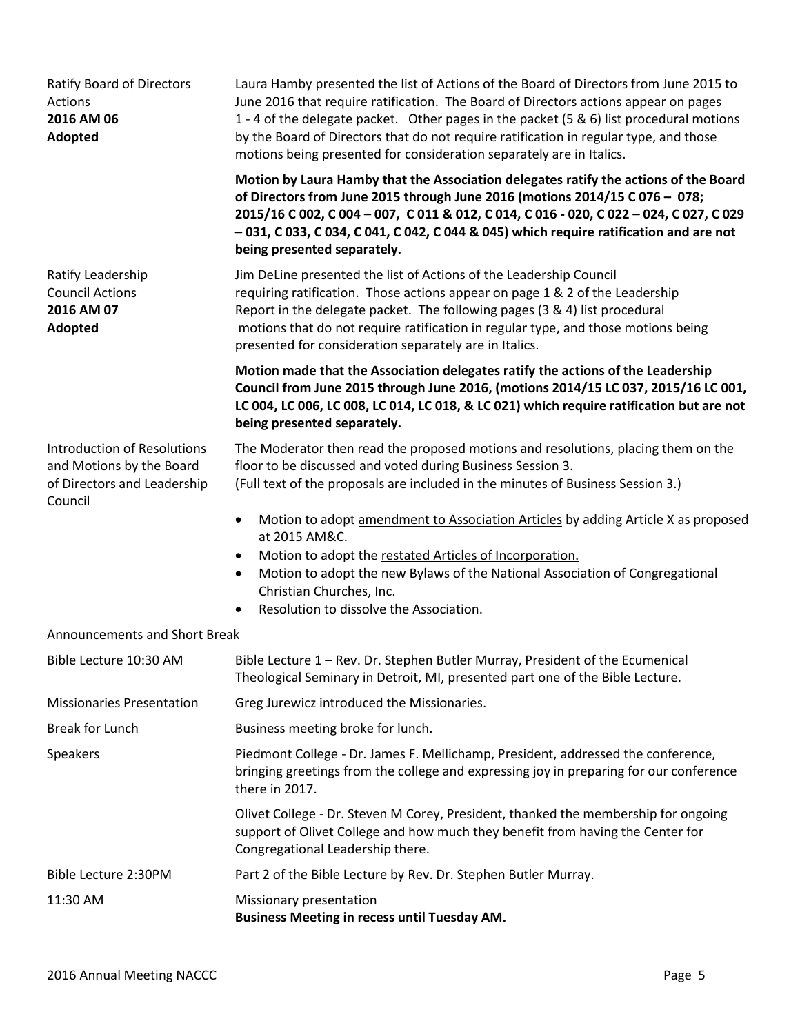| Ratify Board of Directors<br>Actions<br>2016 AM 06<br>Adopted                                            | Laura Hamby presented the list of Actions of the Board of Directors from June 2015 to<br>June 2016 that require ratification. The Board of Directors actions appear on pages<br>1 - 4 of the delegate packet. Other pages in the packet (5 & 6) list procedural motions<br>by the Board of Directors that do not require ratification in regular type, and those<br>motions being presented for consideration separately are in Italics.<br>Motion by Laura Hamby that the Association delegates ratify the actions of the Board<br>of Directors from June 2015 through June 2016 (motions 2014/15 C 076 - 078;<br>2015/16 C 002, C 004 - 007, C 011 & 012, C 014, C 016 - 020, C 022 - 024, C 027, C 029<br>$-031$ , C 033, C 034, C 041, C 042, C 044 & 045) which require ratification and are not |
|----------------------------------------------------------------------------------------------------------|-------------------------------------------------------------------------------------------------------------------------------------------------------------------------------------------------------------------------------------------------------------------------------------------------------------------------------------------------------------------------------------------------------------------------------------------------------------------------------------------------------------------------------------------------------------------------------------------------------------------------------------------------------------------------------------------------------------------------------------------------------------------------------------------------------|
| Ratify Leadership<br><b>Council Actions</b><br>2016 AM 07<br>Adopted                                     | being presented separately.<br>Jim DeLine presented the list of Actions of the Leadership Council<br>requiring ratification. Those actions appear on page 1 & 2 of the Leadership<br>Report in the delegate packet. The following pages (3 & 4) list procedural<br>motions that do not require ratification in regular type, and those motions being<br>presented for consideration separately are in Italics.                                                                                                                                                                                                                                                                                                                                                                                        |
|                                                                                                          | Motion made that the Association delegates ratify the actions of the Leadership<br>Council from June 2015 through June 2016, (motions 2014/15 LC 037, 2015/16 LC 001,<br>LC 004, LC 006, LC 008, LC 014, LC 018, & LC 021) which require ratification but are not<br>being presented separately.                                                                                                                                                                                                                                                                                                                                                                                                                                                                                                      |
| <b>Introduction of Resolutions</b><br>and Motions by the Board<br>of Directors and Leadership<br>Council | The Moderator then read the proposed motions and resolutions, placing them on the<br>floor to be discussed and voted during Business Session 3.<br>(Full text of the proposals are included in the minutes of Business Session 3.)                                                                                                                                                                                                                                                                                                                                                                                                                                                                                                                                                                    |
|                                                                                                          | Motion to adopt amendment to Association Articles by adding Article X as proposed<br>$\bullet$<br>at 2015 AM&C.<br>Motion to adopt the restated Articles of Incorporation.<br>$\bullet$<br>Motion to adopt the new Bylaws of the National Association of Congregational<br>$\bullet$<br>Christian Churches, Inc.<br>Resolution to dissolve the Association.<br>$\bullet$                                                                                                                                                                                                                                                                                                                                                                                                                              |
| Announcements and Short Break                                                                            |                                                                                                                                                                                                                                                                                                                                                                                                                                                                                                                                                                                                                                                                                                                                                                                                       |
| Bible Lecture 10:30 AM                                                                                   | Bible Lecture 1 - Rev. Dr. Stephen Butler Murray, President of the Ecumenical<br>Theological Seminary in Detroit, MI, presented part one of the Bible Lecture.                                                                                                                                                                                                                                                                                                                                                                                                                                                                                                                                                                                                                                        |
| <b>Missionaries Presentation</b>                                                                         | Greg Jurewicz introduced the Missionaries.                                                                                                                                                                                                                                                                                                                                                                                                                                                                                                                                                                                                                                                                                                                                                            |
| <b>Break for Lunch</b>                                                                                   | Business meeting broke for lunch.                                                                                                                                                                                                                                                                                                                                                                                                                                                                                                                                                                                                                                                                                                                                                                     |
| Speakers                                                                                                 | Piedmont College - Dr. James F. Mellichamp, President, addressed the conference,<br>bringing greetings from the college and expressing joy in preparing for our conference<br>there in 2017.                                                                                                                                                                                                                                                                                                                                                                                                                                                                                                                                                                                                          |
|                                                                                                          | Olivet College - Dr. Steven M Corey, President, thanked the membership for ongoing<br>support of Olivet College and how much they benefit from having the Center for<br>Congregational Leadership there.                                                                                                                                                                                                                                                                                                                                                                                                                                                                                                                                                                                              |
| Bible Lecture 2:30PM                                                                                     | Part 2 of the Bible Lecture by Rev. Dr. Stephen Butler Murray.                                                                                                                                                                                                                                                                                                                                                                                                                                                                                                                                                                                                                                                                                                                                        |
| 11:30 AM                                                                                                 | Missionary presentation<br><b>Business Meeting in recess until Tuesday AM.</b>                                                                                                                                                                                                                                                                                                                                                                                                                                                                                                                                                                                                                                                                                                                        |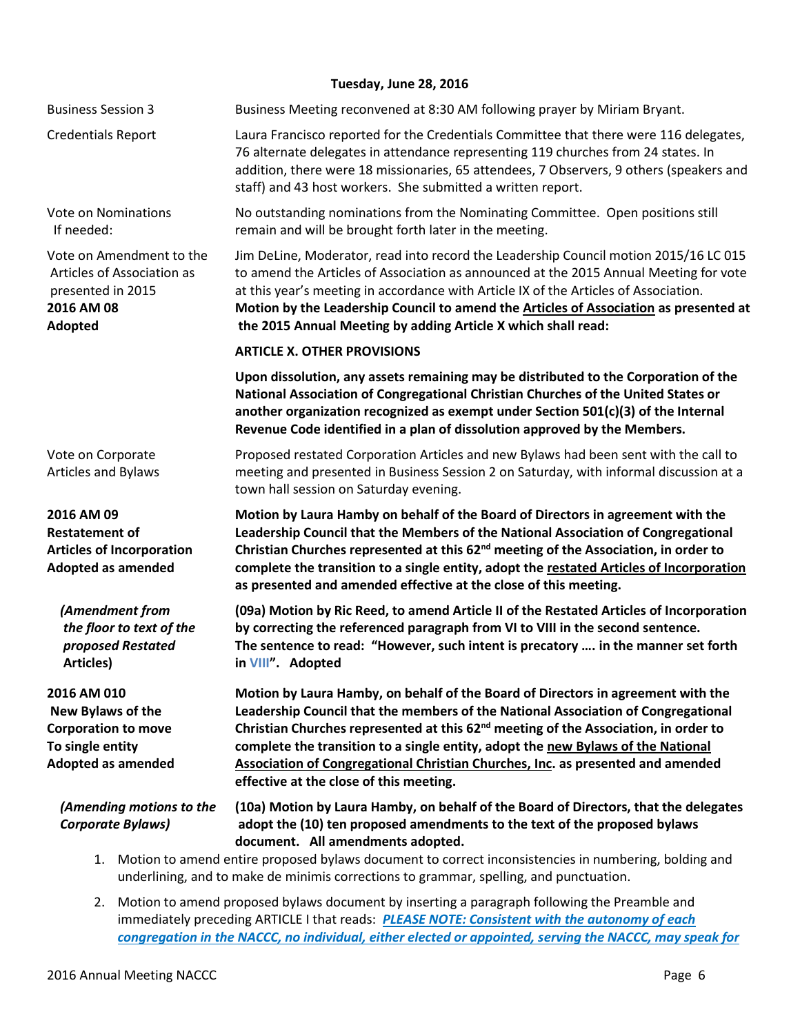## **Tuesday, June 28, 2016**

|                                                                                                                        | Tuesday, June Zo, 2016                                                                                                                                                                                                                                                                                                                                                                                                                                                                     |
|------------------------------------------------------------------------------------------------------------------------|--------------------------------------------------------------------------------------------------------------------------------------------------------------------------------------------------------------------------------------------------------------------------------------------------------------------------------------------------------------------------------------------------------------------------------------------------------------------------------------------|
| <b>Business Session 3</b>                                                                                              | Business Meeting reconvened at 8:30 AM following prayer by Miriam Bryant.                                                                                                                                                                                                                                                                                                                                                                                                                  |
| <b>Credentials Report</b>                                                                                              | Laura Francisco reported for the Credentials Committee that there were 116 delegates,<br>76 alternate delegates in attendance representing 119 churches from 24 states. In<br>addition, there were 18 missionaries, 65 attendees, 7 Observers, 9 others (speakers and<br>staff) and 43 host workers. She submitted a written report.                                                                                                                                                       |
| <b>Vote on Nominations</b><br>If needed:                                                                               | No outstanding nominations from the Nominating Committee. Open positions still<br>remain and will be brought forth later in the meeting.                                                                                                                                                                                                                                                                                                                                                   |
| Vote on Amendment to the<br>Articles of Association as<br>presented in 2015<br>2016 AM 08<br><b>Adopted</b>            | Jim DeLine, Moderator, read into record the Leadership Council motion 2015/16 LC 015<br>to amend the Articles of Association as announced at the 2015 Annual Meeting for vote<br>at this year's meeting in accordance with Article IX of the Articles of Association.<br>Motion by the Leadership Council to amend the Articles of Association as presented at<br>the 2015 Annual Meeting by adding Article X which shall read:                                                            |
|                                                                                                                        | <b>ARTICLE X. OTHER PROVISIONS</b>                                                                                                                                                                                                                                                                                                                                                                                                                                                         |
|                                                                                                                        | Upon dissolution, any assets remaining may be distributed to the Corporation of the<br>National Association of Congregational Christian Churches of the United States or<br>another organization recognized as exempt under Section $501(c)(3)$ of the Internal<br>Revenue Code identified in a plan of dissolution approved by the Members.                                                                                                                                               |
| Vote on Corporate<br><b>Articles and Bylaws</b>                                                                        | Proposed restated Corporation Articles and new Bylaws had been sent with the call to<br>meeting and presented in Business Session 2 on Saturday, with informal discussion at a<br>town hall session on Saturday evening.                                                                                                                                                                                                                                                                   |
| 2016 AM 09<br><b>Restatement of</b><br><b>Articles of Incorporation</b><br><b>Adopted as amended</b>                   | Motion by Laura Hamby on behalf of the Board of Directors in agreement with the<br>Leadership Council that the Members of the National Association of Congregational<br>Christian Churches represented at this 62 <sup>nd</sup> meeting of the Association, in order to<br>complete the transition to a single entity, adopt the restated Articles of Incorporation<br>as presented and amended effective at the close of this meeting.                                                    |
| (Amendment from<br>the floor to text of the<br>proposed Restated<br><b>Articles)</b>                                   | (09a) Motion by Ric Reed, to amend Article II of the Restated Articles of Incorporation<br>by correcting the referenced paragraph from VI to VIII in the second sentence.<br>The sentence to read: "However, such intent is precatory  in the manner set forth<br>in VIII". Adopted                                                                                                                                                                                                        |
| 2016 AM 010<br><b>New Bylaws of the</b><br><b>Corporation to move</b><br>To single entity<br><b>Adopted as amended</b> | Motion by Laura Hamby, on behalf of the Board of Directors in agreement with the<br>Leadership Council that the members of the National Association of Congregational<br>Christian Churches represented at this 62 <sup>nd</sup> meeting of the Association, in order to<br>complete the transition to a single entity, adopt the new Bylaws of the National<br>Association of Congregational Christian Churches, Inc. as presented and amended<br>effective at the close of this meeting. |
| (Amending motions to the<br><b>Corporate Bylaws)</b><br>1.                                                             | (10a) Motion by Laura Hamby, on behalf of the Board of Directors, that the delegates<br>adopt the (10) ten proposed amendments to the text of the proposed bylaws<br>document. All amendments adopted.<br>Motion to amend entire proposed bylaws document to correct inconsistencies in numbering, bolding and                                                                                                                                                                             |
| underlining, and to make de minimis corrections to grammar, spelling, and punctuation.                                 |                                                                                                                                                                                                                                                                                                                                                                                                                                                                                            |

2. Motion to amend proposed bylaws document by inserting a paragraph following the Preamble and immediately preceding ARTICLE I that reads: *PLEASE NOTE: Consistent with the autonomy of each congregation in the NACCC, no individual, either elected or appointed, serving the NACCC, may speak for*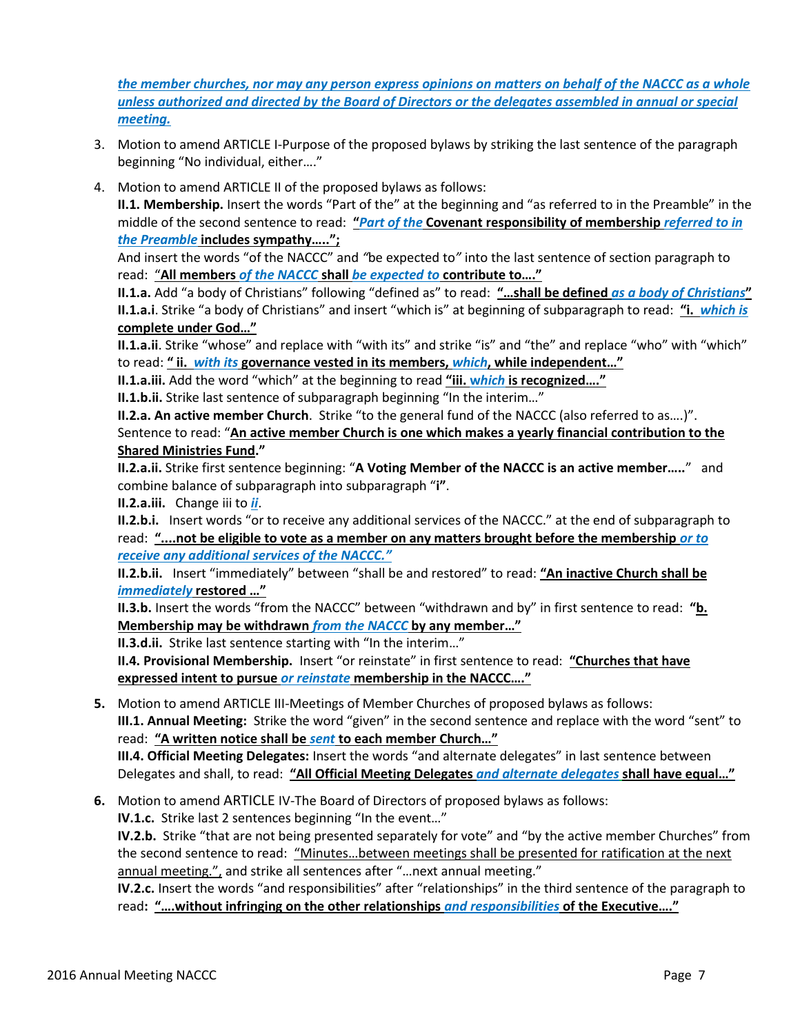*the member churches, nor may any person express opinions on matters on behalf of the NACCC as a whole unless authorized and directed by the Board of Directors or the delegates assembled in annual or special meeting.*

- 3. Motion to amend ARTICLE I-Purpose of the proposed bylaws by striking the last sentence of the paragraph beginning "No individual, either…."
- 4. Motion to amend ARTICLE II of the proposed bylaws as follows:

**II.1. Membership.** Insert the words "Part of the" at the beginning and "as referred to in the Preamble" in the middle of the second sentence to read: **"***Part of the* **Covenant responsibility of membership** *referred to in the Preamble* **includes sympathy…..";**

And insert the words "of the NACCC" and *"*be expected to*"* into the last sentence of section paragraph to read: "**All members** *of the NACCC* **shall** *be expected to* **contribute to…."**

**II.1.a.** Add "a body of Christians" following "defined as" to read: **"…shall be defined** *as a body of Christians***" II.1.a.i**. Strike "a body of Christians" and insert "which is" at beginning of subparagraph to read: **"i.** *which is* **complete under God…"**

**II.1.a.ii**. Strike "whose" and replace with "with its" and strike "is" and "the" and replace "who" with "which" to read: **" ii.** *with its* **governance vested in its members,** *which***, while independent…"**

**II.1.a.iii.** Add the word "which" at the beginning to read **"iii. w***hich* **is recognized…."**

**II.1.b.ii.** Strike last sentence of subparagraph beginning "In the interim…"

**II.2.a. An active member Church**. Strike "to the general fund of the NACCC (also referred to as….)". Sentence to read: "**An active member Church is one which makes a yearly financial contribution to the Shared Ministries Fund."** 

**II.2.a.ii.** Strike first sentence beginning: "**A Voting Member of the NACCC is an active member…..**" and combine balance of subparagraph into subparagraph "**i"**.

**II.2.a.iii.** Change iii to *ii*.

**II.2.b.i.** Insert words "or to receive any additional services of the NACCC." at the end of subparagraph to read: **"....not be eligible to vote as a member on any matters brought before the membership** *or to receive any additional services of the NACCC."*

**II.2.b.ii.** Insert "immediately" between "shall be and restored" to read: **"An inactive Church shall be**  *immediately* **restored …"** 

**II.3.b.** Insert the words "from the NACCC" between "withdrawn and by" in first sentence to read: **"b. Membership may be withdrawn** *from the NACCC* **by any member…"**

**II.3.d.ii.** Strike last sentence starting with "In the interim…"

**II.4. Provisional Membership.** Insert "or reinstate" in first sentence to read: **"Churches that have expressed intent to pursue** *or reinstate* **membership in the NACCC…."** 

**5.** Motion to amend ARTICLE III-Meetings of Member Churches of proposed bylaws as follows: **III.1. Annual Meeting:** Strike the word "given" in the second sentence and replace with the word "sent" to read: **"A written notice shall be** *sent* **to each member Church…" III.4. Official Meeting Delegates:** Insert the words "and alternate delegates" in last sentence between

Delegates and shall, to read: **"All Official Meeting Delegates** *and alternate delegates* **shall have equal…"**

**6.** Motion to amend ARTICLE IV-The Board of Directors of proposed bylaws as follows: **IV.1.c.** Strike last 2 sentences beginning "In the event…"

**IV.2.b.** Strike "that are not being presented separately for vote" and "by the active member Churches" from the second sentence to read: "Minutes…between meetings shall be presented for ratification at the next annual meeting.", and strike all sentences after "…next annual meeting."

**IV.2.c.** Insert the words "and responsibilities" after "relationships" in the third sentence of the paragraph to read**: "….without infringing on the other relationships** *and responsibilities* **of the Executive…."**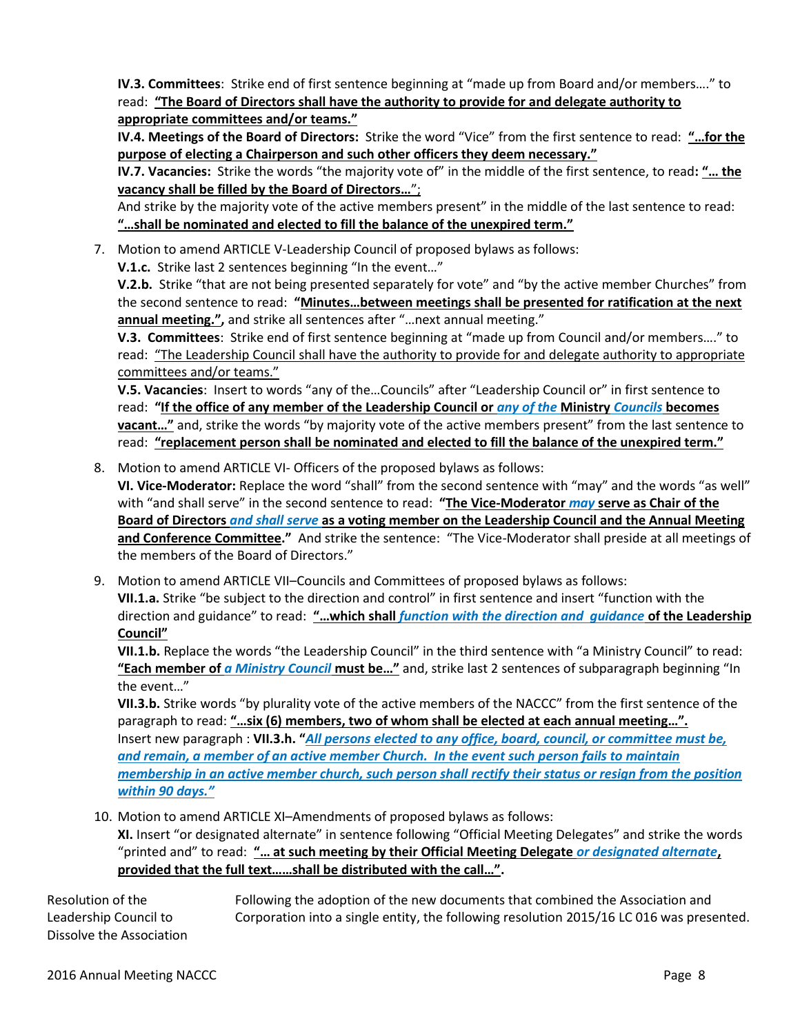**IV.3. Committees**: Strike end of first sentence beginning at "made up from Board and/or members…." to read: **"The Board of Directors shall have the authority to provide for and delegate authority to appropriate committees and/or teams."**

**IV.4. Meetings of the Board of Directors:** Strike the word "Vice" from the first sentence to read: **"…for the purpose of electing a Chairperson and such other officers they deem necessary."**

**IV.7. Vacancies:** Strike the words "the majority vote of" in the middle of the first sentence, to read**: "… the vacancy shall be filled by the Board of Directors…**";

And strike by the majority vote of the active members present" in the middle of the last sentence to read: **"…shall be nominated and elected to fill the balance of the unexpired term."**

7. Motion to amend ARTICLE V-Leadership Council of proposed bylaws as follows:

**V.1.c.** Strike last 2 sentences beginning "In the event…"

**V.2.b.** Strike "that are not being presented separately for vote" and "by the active member Churches" from the second sentence to read: **"Minutes…between meetings shall be presented for ratification at the next annual meeting.",** and strike all sentences after "…next annual meeting."

**V.3. Committees**: Strike end of first sentence beginning at "made up from Council and/or members…." to read: "The Leadership Council shall have the authority to provide for and delegate authority to appropriate committees and/or teams."

**V.5. Vacancies**: Insert to words "any of the…Councils" after "Leadership Council or" in first sentence to read: **"If the office of any member of the Leadership Council or** *any of the* **Ministry** *Councils* **becomes vacant…"** and, strike the words "by majority vote of the active members present" from the last sentence to read: **"replacement person shall be nominated and elected to fill the balance of the unexpired term."**

8. Motion to amend ARTICLE VI- Officers of the proposed bylaws as follows:

**VI. Vice-Moderator:** Replace the word "shall" from the second sentence with "may" and the words "as well" with "and shall serve" in the second sentence to read: **"The Vice-Moderator** *may* **serve as Chair of the Board of Directors** *and shall serve* **as a voting member on the Leadership Council and the Annual Meeting and Conference Committee."** And strike the sentence: "The Vice-Moderator shall preside at all meetings of the members of the Board of Directors."

9. Motion to amend ARTICLE VII–Councils and Committees of proposed bylaws as follows: **VII.1.a.** Strike "be subject to the direction and control" in first sentence and insert "function with the direction and guidance" to read: **"…which shall** *function with the direction and guidance* **of the Leadership Council"**

**VII.1.b.** Replace the words "the Leadership Council" in the third sentence with "a Ministry Council" to read: **"Each member of** *a Ministry Council* **must be…"** and, strike last 2 sentences of subparagraph beginning "In the event…"

**VII.3.b.** Strike words "by plurality vote of the active members of the NACCC" from the first sentence of the paragraph to read: **"…six (6) members, two of whom shall be elected at each annual meeting…".** Insert new paragraph : **VII.3.h. "***All persons elected to any office, board, council, or committee must be, and remain, a member of an active member Church. In the event such person fails to maintain membership in an active member church, such person shall rectify their status or resign from the position within 90 days."*

10. Motion to amend ARTICLE XI–Amendments of proposed bylaws as follows:

**XI.** Insert "or designated alternate" in sentence following "Official Meeting Delegates" and strike the words "printed and" to read: **"… at such meeting by their Official Meeting Delegate** *or designated alternate***, provided that the full text……shall be distributed with the call…".**

Resolution of the Following the adoption of the new documents that combined the Association and Leadership Council to Corporation into a single entity, the following resolution 2015/16 LC 016 was presented. Dissolve the Association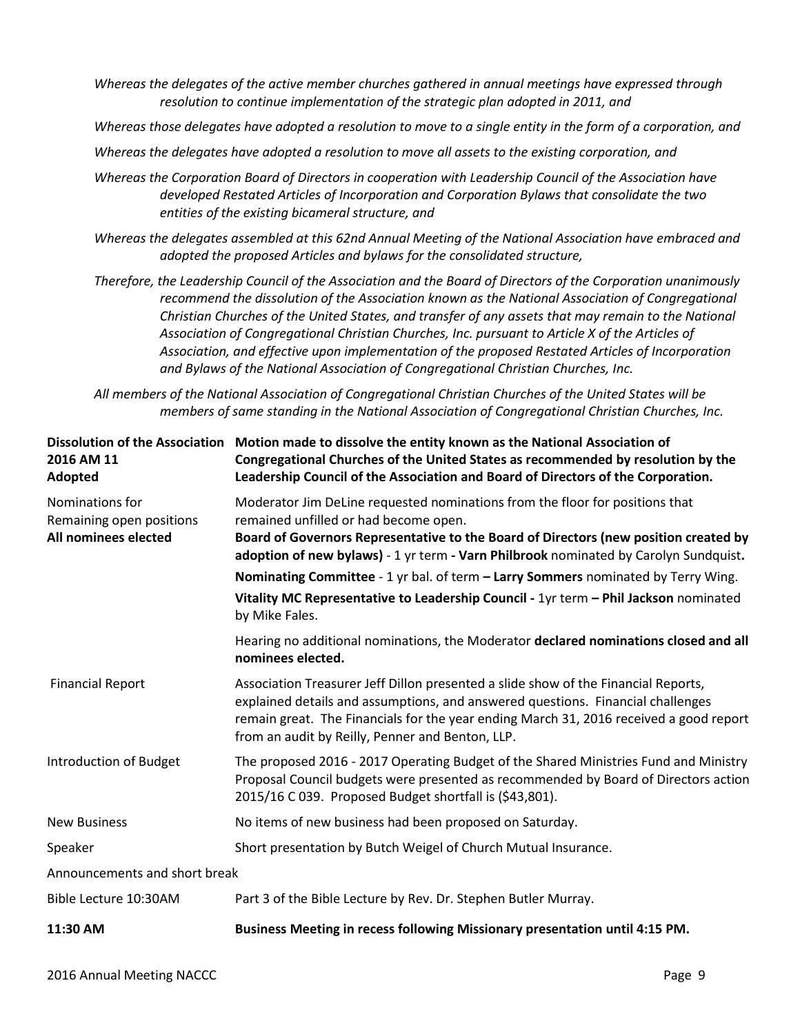*Whereas the delegates of the active member churches gathered in annual meetings have expressed through resolution to continue implementation of the strategic plan adopted in 2011, and*

*Whereas those delegates have adopted a resolution to move to a single entity in the form of a corporation, and*

*Whereas the delegates have adopted a resolution to move all assets to the existing corporation, and*

- *Whereas the Corporation Board of Directors in cooperation with Leadership Council of the Association have developed Restated Articles of Incorporation and Corporation Bylaws that consolidate the two entities of the existing bicameral structure, and*
- *Whereas the delegates assembled at this 62nd Annual Meeting of the National Association have embraced and adopted the proposed Articles and bylaws for the consolidated structure,*
- *Therefore, the Leadership Council of the Association and the Board of Directors of the Corporation unanimously recommend the dissolution of the Association known as the National Association of Congregational Christian Churches of the United States, and transfer of any assets that may remain to the National Association of Congregational Christian Churches, Inc. pursuant to Article X of the Articles of Association, and effective upon implementation of the proposed Restated Articles of Incorporation and Bylaws of the National Association of Congregational Christian Churches, Inc.*

*All members of the National Association of Congregational Christian Churches of the United States will be members of same standing in the National Association of Congregational Christian Churches, Inc.*

| 2016 AM 11<br>Adopted                                               | Dissolution of the Association Motion made to dissolve the entity known as the National Association of<br>Congregational Churches of the United States as recommended by resolution by the<br>Leadership Council of the Association and Board of Directors of the Corporation.                                      |
|---------------------------------------------------------------------|---------------------------------------------------------------------------------------------------------------------------------------------------------------------------------------------------------------------------------------------------------------------------------------------------------------------|
| Nominations for<br>Remaining open positions<br>All nominees elected | Moderator Jim DeLine requested nominations from the floor for positions that<br>remained unfilled or had become open.<br>Board of Governors Representative to the Board of Directors (new position created by<br>adoption of new bylaws) - 1 yr term - Varn Philbrook nominated by Carolyn Sundquist.               |
|                                                                     | Nominating Committee - 1 yr bal. of term - Larry Sommers nominated by Terry Wing.                                                                                                                                                                                                                                   |
|                                                                     | Vitality MC Representative to Leadership Council - 1yr term - Phil Jackson nominated<br>by Mike Fales.                                                                                                                                                                                                              |
|                                                                     | Hearing no additional nominations, the Moderator declared nominations closed and all<br>nominees elected.                                                                                                                                                                                                           |
| <b>Financial Report</b>                                             | Association Treasurer Jeff Dillon presented a slide show of the Financial Reports,<br>explained details and assumptions, and answered questions. Financial challenges<br>remain great. The Financials for the year ending March 31, 2016 received a good report<br>from an audit by Reilly, Penner and Benton, LLP. |
| Introduction of Budget                                              | The proposed 2016 - 2017 Operating Budget of the Shared Ministries Fund and Ministry<br>Proposal Council budgets were presented as recommended by Board of Directors action<br>2015/16 C 039. Proposed Budget shortfall is (\$43,801).                                                                              |
| <b>New Business</b>                                                 | No items of new business had been proposed on Saturday.                                                                                                                                                                                                                                                             |
| Speaker                                                             | Short presentation by Butch Weigel of Church Mutual Insurance.                                                                                                                                                                                                                                                      |
| Announcements and short break                                       |                                                                                                                                                                                                                                                                                                                     |
| Bible Lecture 10:30AM                                               | Part 3 of the Bible Lecture by Rev. Dr. Stephen Butler Murray.                                                                                                                                                                                                                                                      |
| 11:30 AM                                                            | Business Meeting in recess following Missionary presentation until 4:15 PM.                                                                                                                                                                                                                                         |